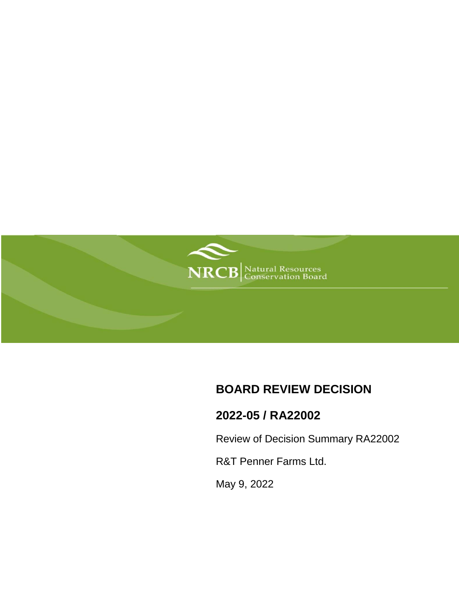

## **BOARD REVIEW DECISION**

# **2022-05 / RA22002**

Review of Decision Summary RA22002

R&T Penner Farms Ltd.

May 9, 2022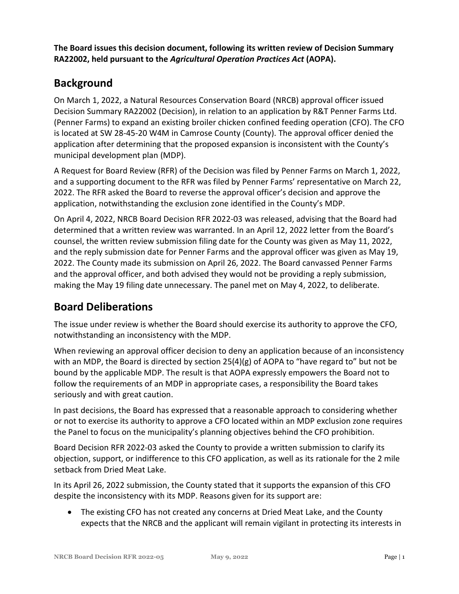**The Board issues this decision document, following its written review of Decision Summary RA22002, held pursuant to the** *Agricultural Operation Practices Act* **(AOPA).**

## **Background**

On March 1, 2022, a Natural Resources Conservation Board (NRCB) approval officer issued Decision Summary RA22002 (Decision), in relation to an application by R&T Penner Farms Ltd. (Penner Farms) to expand an existing broiler chicken confined feeding operation (CFO). The CFO is located at SW 28-45-20 W4M in Camrose County (County). The approval officer denied the application after determining that the proposed expansion is inconsistent with the County's municipal development plan (MDP).

A Request for Board Review (RFR) of the Decision was filed by Penner Farms on March 1, 2022, and a supporting document to the RFR was filed by Penner Farms' representative on March 22, 2022. The RFR asked the Board to reverse the approval officer's decision and approve the application, notwithstanding the exclusion zone identified in the County's MDP.

On April 4, 2022, NRCB Board Decision RFR 2022-03 was released, advising that the Board had determined that a written review was warranted. In an April 12, 2022 letter from the Board's counsel, the written review submission filing date for the County was given as May 11, 2022, and the reply submission date for Penner Farms and the approval officer was given as May 19, 2022. The County made its submission on April 26, 2022. The Board canvassed Penner Farms and the approval officer, and both advised they would not be providing a reply submission, making the May 19 filing date unnecessary. The panel met on May 4, 2022, to deliberate.

### **Board Deliberations**

The issue under review is whether the Board should exercise its authority to approve the CFO, notwithstanding an inconsistency with the MDP.

When reviewing an approval officer decision to deny an application because of an inconsistency with an MDP, the Board is directed by section  $25(4)(g)$  of AOPA to "have regard to" but not be bound by the applicable MDP. The result is that AOPA expressly empowers the Board not to follow the requirements of an MDP in appropriate cases, a responsibility the Board takes seriously and with great caution.

In past decisions, the Board has expressed that a reasonable approach to considering whether or not to exercise its authority to approve a CFO located within an MDP exclusion zone requires the Panel to focus on the municipality's planning objectives behind the CFO prohibition.

Board Decision RFR 2022-03 asked the County to provide a written submission to clarify its objection, support, or indifference to this CFO application, as well as its rationale for the 2 mile setback from Dried Meat Lake.

In its April 26, 2022 submission, the County stated that it supports the expansion of this CFO despite the inconsistency with its MDP. Reasons given for its support are:

 The existing CFO has not created any concerns at Dried Meat Lake, and the County expects that the NRCB and the applicant will remain vigilant in protecting its interests in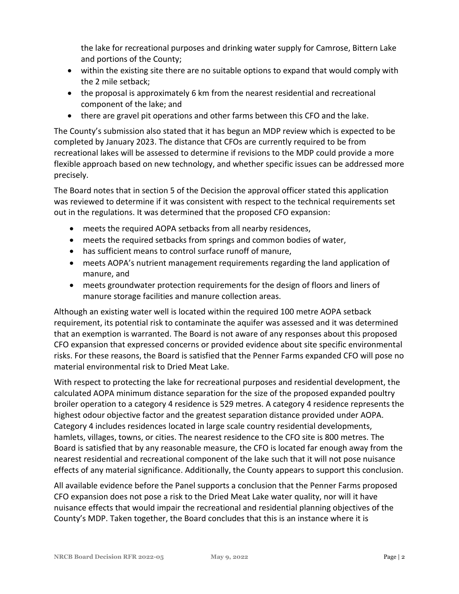the lake for recreational purposes and drinking water supply for Camrose, Bittern Lake and portions of the County;

- within the existing site there are no suitable options to expand that would comply with the 2 mile setback;
- the proposal is approximately 6 km from the nearest residential and recreational component of the lake; and
- there are gravel pit operations and other farms between this CFO and the lake.

The County's submission also stated that it has begun an MDP review which is expected to be completed by January 2023. The distance that CFOs are currently required to be from recreational lakes will be assessed to determine if revisions to the MDP could provide a more flexible approach based on new technology, and whether specific issues can be addressed more precisely.

The Board notes that in section 5 of the Decision the approval officer stated this application was reviewed to determine if it was consistent with respect to the technical requirements set out in the regulations. It was determined that the proposed CFO expansion:

- meets the required AOPA setbacks from all nearby residences,
- meets the required setbacks from springs and common bodies of water,
- has sufficient means to control surface runoff of manure,
- meets AOPA's nutrient management requirements regarding the land application of manure, and
- meets groundwater protection requirements for the design of floors and liners of manure storage facilities and manure collection areas.

Although an existing water well is located within the required 100 metre AOPA setback requirement, its potential risk to contaminate the aquifer was assessed and it was determined that an exemption is warranted. The Board is not aware of any responses about this proposed CFO expansion that expressed concerns or provided evidence about site specific environmental risks. For these reasons, the Board is satisfied that the Penner Farms expanded CFO will pose no material environmental risk to Dried Meat Lake.

With respect to protecting the lake for recreational purposes and residential development, the calculated AOPA minimum distance separation for the size of the proposed expanded poultry broiler operation to a category 4 residence is 529 metres. A category 4 residence represents the highest odour objective factor and the greatest separation distance provided under AOPA. Category 4 includes residences located in large scale country residential developments, hamlets, villages, towns, or cities. The nearest residence to the CFO site is 800 metres. The Board is satisfied that by any reasonable measure, the CFO is located far enough away from the nearest residential and recreational component of the lake such that it will not pose nuisance effects of any material significance. Additionally, the County appears to support this conclusion.

All available evidence before the Panel supports a conclusion that the Penner Farms proposed CFO expansion does not pose a risk to the Dried Meat Lake water quality, nor will it have nuisance effects that would impair the recreational and residential planning objectives of the County's MDP. Taken together, the Board concludes that this is an instance where it is